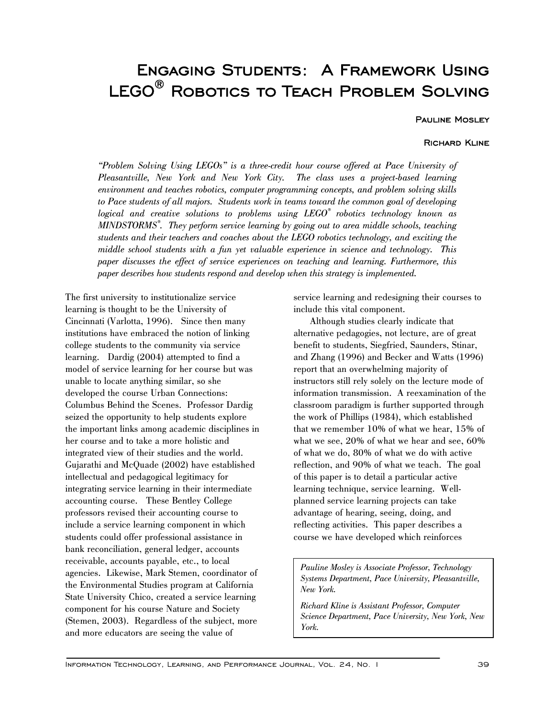# Engaging Students: A Framework Using LEGO<sup>®</sup> ROBOTICS TO TEACH PROBLEM SOLVING

# Pauline Mosley

## Richard Kline

*"Problem Solving Using LEGOs" is a three-credit hour course offered at Pace University of Pleasantville, New York and New York City. The class uses a project-based learning environment and teaches robotics, computer programming concepts, and problem solving skills to Pace students of all majors. Students work in teams toward the common goal of developing logical and creative solutions to problems using LEGO® robotics technology known as MINDSTORMS® . They perform service learning by going out to area middle schools, teaching students and their teachers and coaches about the LEGO robotics technology, and exciting the middle school students with a fun yet valuable experience in science and technology. This paper discusses the effect of service experiences on teaching and learning. Furthermore, this paper describes how students respond and develop when this strategy is implemented.* 

The first university to institutionalize service learning is thought to be the University of Cincinnati (Varlotta, 1996). Since then many institutions have embraced the notion of linking college students to the community via service learning. Dardig (2004) attempted to find a model of service learning for her course but was unable to locate anything similar, so she developed the course Urban Connections: Columbus Behind the Scenes. Professor Dardig seized the opportunity to help students explore the important links among academic disciplines in her course and to take a more holistic and integrated view of their studies and the world. Gujarathi and McQuade (2002) have established intellectual and pedagogical legitimacy for integrating service learning in their intermediate accounting course. These Bentley College professors revised their accounting course to include a service learning component in which students could offer professional assistance in bank reconciliation, general ledger, accounts receivable, accounts payable, etc., to local agencies. Likewise, Mark Stemen, coordinator of the Environmental Studies program at California State University Chico, created a service learning component for his course Nature and Society (Stemen, 2003). Regardless of the subject, more and more educators are seeing the value of

service learning and redesigning their courses to include this vital component.

Although studies clearly indicate that alternative pedagogies, not lecture, are of great benefit to students, Siegfried, Saunders, Stinar, and Zhang (1996) and Becker and Watts (1996) report that an overwhelming majority of instructors still rely solely on the lecture mode of information transmission. A reexamination of the classroom paradigm is further supported through the work of Phillips (1984), which established that we remember 10% of what we hear, 15% of what we see, 20% of what we hear and see, 60% of what we do, 80% of what we do with active reflection, and 90% of what we teach. The goal of this paper is to detail a particular active learning technique, service learning. Wellplanned service learning projects can take advantage of hearing, seeing, doing, and reflecting activities. This paper describes a course we have developed which reinforces

*Pauline Mosley is Associate Professor, Technology Systems Department, Pace University, Pleasantville, New York.* 

*Richard Kline is Assistant Professor, Computer Science Department, Pace University, New York, New York.*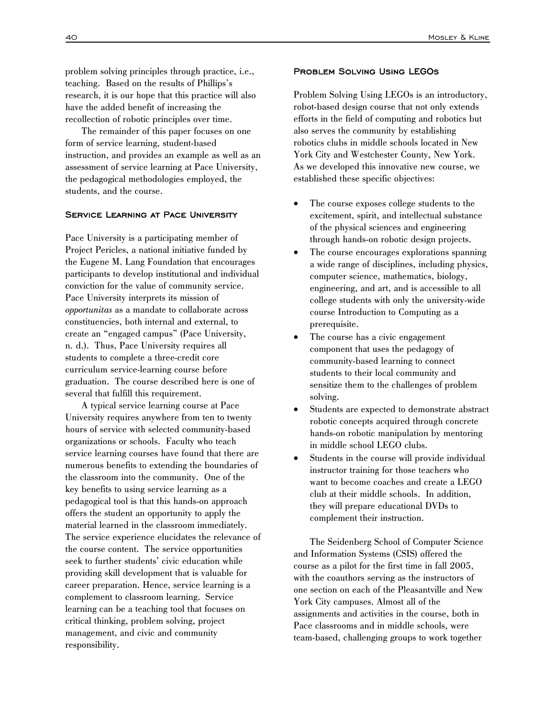problem solving principles through practice, i.e., teaching. Based on the results of Phillips's research, it is our hope that this practice will also have the added benefit of increasing the recollection of robotic principles over time.

The remainder of this paper focuses on one form of service learning, student-based instruction, and provides an example as well as an assessment of service learning at Pace University, the pedagogical methodologies employed, the students, and the course.

#### Service Learning at Pace University

Pace University is a participating member of Project Pericles, a national initiative funded by the Eugene M. Lang Foundation that encourages participants to develop institutional and individual conviction for the value of community service. Pace University interprets its mission of *opportunitas* as a mandate to collaborate across constituencies, both internal and external, to create an "engaged campus" (Pace University, n. d.). Thus, Pace University requires all students to complete a three-credit core curriculum service-learning course before graduation. The course described here is one of several that fulfill this requirement.

A typical service learning course at Pace University requires anywhere from ten to twenty hours of service with selected community-based organizations or schools. Faculty who teach service learning courses have found that there are numerous benefits to extending the boundaries of the classroom into the community. One of the key benefits to using service learning as a pedagogical tool is that this hands-on approach offers the student an opportunity to apply the material learned in the classroom immediately. The service experience elucidates the relevance of the course content. The service opportunities seek to further students' civic education while providing skill development that is valuable for career preparation. Hence, service learning is a complement to classroom learning. Service learning can be a teaching tool that focuses on critical thinking, problem solving, project management, and civic and community responsibility.

### Problem Solving Using LEGOs

Problem Solving Using LEGOs is an introductory, robot-based design course that not only extends efforts in the field of computing and robotics but also serves the community by establishing robotics clubs in middle schools located in New York City and Westchester County, New York. As we developed this innovative new course, we established these specific objectives:

- The course exposes college students to the excitement, spirit, and intellectual substance of the physical sciences and engineering through hands-on robotic design projects.
- The course encourages explorations spanning a wide range of disciplines, including physics, computer science, mathematics, biology, engineering, and art, and is accessible to all college students with only the university-wide course Introduction to Computing as a prerequisite.
- The course has a civic engagement component that uses the pedagogy of community-based learning to connect students to their local community and sensitize them to the challenges of problem solving.
- Students are expected to demonstrate abstract robotic concepts acquired through concrete hands-on robotic manipulation by mentoring in middle school LEGO clubs.
- Students in the course will provide individual instructor training for those teachers who want to become coaches and create a LEGO club at their middle schools. In addition, they will prepare educational DVDs to complement their instruction.

The Seidenberg School of Computer Science and Information Systems (CSIS) offered the course as a pilot for the first time in fall 2005, with the coauthors serving as the instructors of one section on each of the Pleasantville and New York City campuses. Almost all of the assignments and activities in the course, both in Pace classrooms and in middle schools, were team-based, challenging groups to work together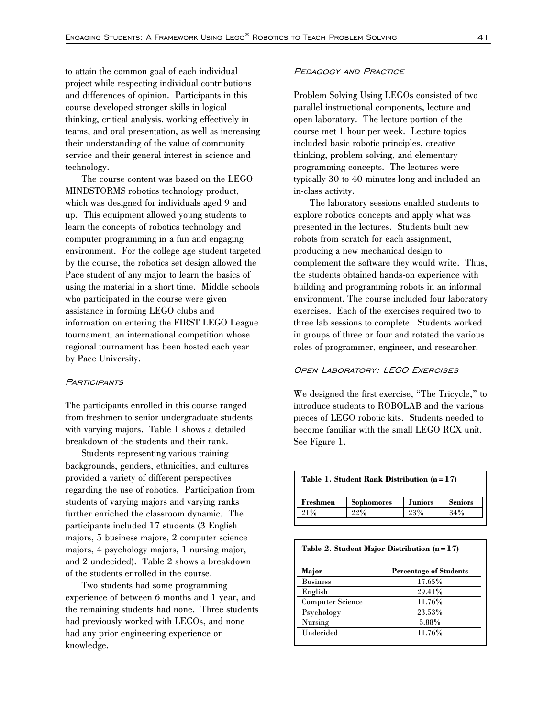to attain the common goal of each individual project while respecting individual contributions and differences of opinion. Participants in this course developed stronger skills in logical thinking, critical analysis, working effectively in teams, and oral presentation, as well as increasing their understanding of the value of community service and their general interest in science and technology.

The course content was based on the LEGO MINDSTORMS robotics technology product, which was designed for individuals aged 9 and up. This equipment allowed young students to learn the concepts of robotics technology and computer programming in a fun and engaging environment. For the college age student targeted by the course, the robotics set design allowed the Pace student of any major to learn the basics of using the material in a short time. Middle schools who participated in the course were given assistance in forming LEGO clubs and information on entering the FIRST LEGO League tournament, an international competition whose regional tournament has been hosted each year by Pace University.

#### **PARTICIPANTS**

The participants enrolled in this course ranged from freshmen to senior undergraduate students with varying majors. Table 1 shows a detailed breakdown of the students and their rank.

Students representing various training backgrounds, genders, ethnicities, and cultures provided a variety of different perspectives regarding the use of robotics. Participation from students of varying majors and varying ranks further enriched the classroom dynamic. The participants included 17 students (3 English majors, 5 business majors, 2 computer science majors, 4 psychology majors, 1 nursing major, and 2 undecided). Table 2 shows a breakdown of the students enrolled in the course.

Two students had some programming experience of between 6 months and 1 year, and the remaining students had none. Three students had previously worked with LEGOs, and none had any prior engineering experience or knowledge.

#### Pedagogy and Practice

Problem Solving Using LEGOs consisted of two parallel instructional components, lecture and open laboratory. The lecture portion of the course met 1 hour per week. Lecture topics included basic robotic principles, creative thinking, problem solving, and elementary programming concepts. The lectures were typically 30 to 40 minutes long and included an in-class activity.

The laboratory sessions enabled students to explore robotics concepts and apply what was presented in the lectures. Students built new robots from scratch for each assignment, producing a new mechanical design to complement the software they would write. Thus, the students obtained hands-on experience with building and programming robots in an informal environment. The course included four laboratory exercises. Each of the exercises required two to three lab sessions to complete. Students worked in groups of three or four and rotated the various roles of programmer, engineer, and researcher.

#### OPEN LABORATORY: LEGO EXERCISES

We designed the first exercise, "The Tricycle," to introduce students to ROBOLAB and the various pieces of LEGO robotic kits. Students needed to become familiar with the small LEGO RCX unit. See Figure 1.

| Table 1. Student Rank Distribution $(n=17)$ |                   |                |                |
|---------------------------------------------|-------------------|----------------|----------------|
| Freshmen                                    | <b>Sophomores</b> | <b>Juniors</b> | <b>Seniors</b> |
| 21%                                         | 22%               | 23%            | 34%            |

| Major                   | <b>Percentage of Students</b> |
|-------------------------|-------------------------------|
| <b>Business</b>         | 17.65%                        |
| English                 | 29.41%                        |
| <b>Computer Science</b> | 11.76%                        |
| Psychology              | 23.53%                        |
| Nursing                 | 5.88%                         |
| $\rm Undecided$         | 11.76%                        |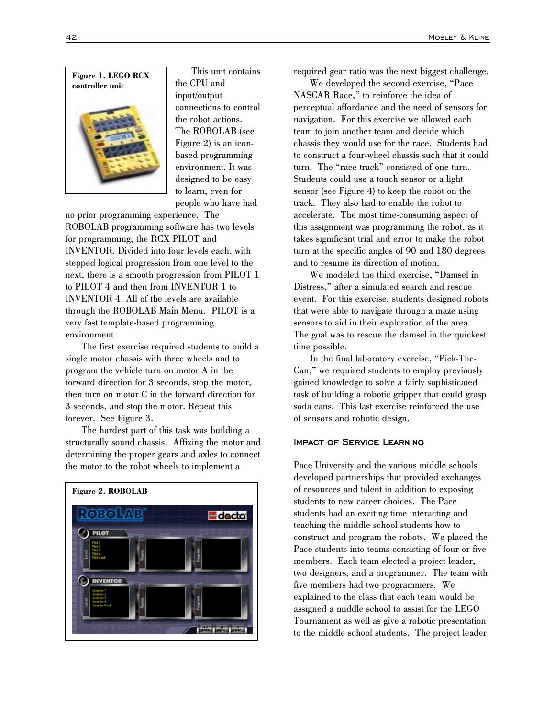

This unit contains the CPU and input/output connections to control the robot actions. The ROBOLAB (see Figure 2) is an iconbased programming environment. It was designed to be easy to learn, even for people who have had

no prior programming experience. The ROBOLAB programming software has two levels for programming, the RCX PILOT and INVENTOR. Divided into four levels each, with stepped logical progression from one level to the next, there is a smooth progression from PILOT 1 to PILOT 4 and then from INVENTOR 1 to INVENTOR 4. All of the levels are available through the ROBOLAB Main Menu. PILOT is a very fast template-based programming environment.

The first exercise required students to build a single motor chassis with three wheels and to program the vehicle turn on motor A in the forward direction for 3 seconds, stop the motor, then turn on motor C in the forward direction for 3 seconds, and stop the motor. Repeat this forever. See Figure 3.

The hardest part of this task was building a structurally sound chassis. Affixing the motor and determining the proper gears and axles to connect the motor to the robot wheels to implement a



required gear ratio was the next biggest challenge.

We developed the second exercise, "Pace NASCAR Race," to reinforce the idea of perceptual affordance and the need of sensors for navigation. For this exercise we allowed each team to join another team and decide which chassis they would use for the race. Students had to construct a four-wheel chassis such that it could turn. The "race track" consisted of one turn. Students could use a touch sensor or a light sensor (see Figure 4) to keep the robot on the track. They also had to enable the robot to accelerate. The most time-consuming aspect of this assignment was programming the robot, as it takes significant trial and error to make the robot turn at the specific angles of 90 and 180 degrees and to resume its direction of motion.

We modeled the third exercise, "Damsel in Distress," after a simulated search and rescue event. For this exercise, students designed robots that were able to navigate through a maze using sensors to aid in their exploration of the area. The goal was to rescue the damsel in the quickest time possible.

In the final laboratory exercise, "Pick-The-Can," we required students to employ previously gained knowledge to solve a fairly sophisticated task of building a robotic gripper that could grasp soda cans. This last exercise reinforced the use of sensors and robotic design.

#### Impact of Service Learning

Pace University and the various middle schools developed partnerships that provided exchanges of resources and talent in addition to exposing students to new career choices. The Pace students had an exciting time interacting and teaching the middle school students how to construct and program the robots. We placed the Pace students into teams consisting of four or five members. Each team elected a project leader, two designers, and a programmer. The team with five members had two programmers. We explained to the class that each team would be assigned a middle school to assist for the LEGO Tournament as well as give a robotic presentation to the middle school students. The project leader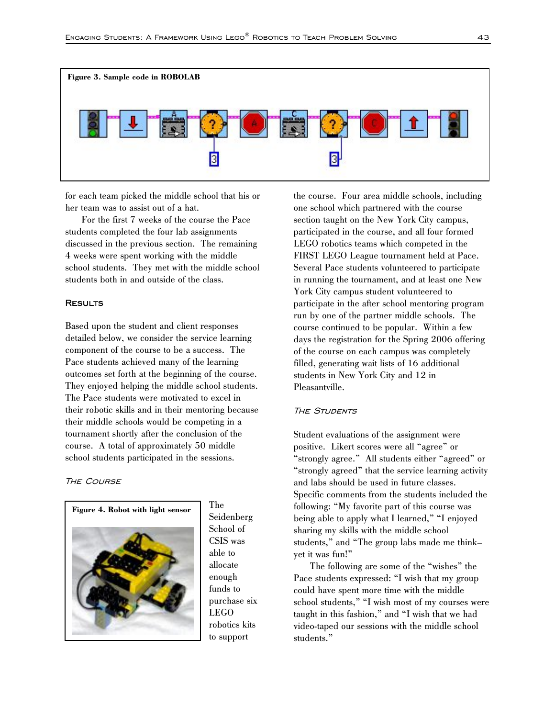

for each team picked the middle school that his or her team was to assist out of a hat.

For the first 7 weeks of the course the Pace students completed the four lab assignments discussed in the previous section. The remaining 4 weeks were spent working with the middle school students. They met with the middle school students both in and outside of the class.

#### **RESULTS**

Based upon the student and client responses detailed below, we consider the service learning component of the course to be a success. The Pace students achieved many of the learning outcomes set forth at the beginning of the course. They enjoyed helping the middle school students. The Pace students were motivated to excel in their robotic skills and in their mentoring because their middle schools would be competing in a tournament shortly after the conclusion of the course. A total of approximately 50 middle school students participated in the sessions.

**THE COURSE** 



The Seidenberg School of CSIS was able to allocate enough funds to purchase six LEGO robotics kits to support

the course. Four area middle schools, including one school which partnered with the course section taught on the New York City campus, participated in the course, and all four formed LEGO robotics teams which competed in the FIRST LEGO League tournament held at Pace. Several Pace students volunteered to participate in running the tournament, and at least one New York City campus student volunteered to participate in the after school mentoring program run by one of the partner middle schools. The course continued to be popular. Within a few days the registration for the Spring 2006 offering of the course on each campus was completely filled, generating wait lists of 16 additional students in New York City and 12 in Pleasantville.

## **THE STUDENTS**

Student evaluations of the assignment were positive. Likert scores were all "agree" or "strongly agree." All students either "agreed" or "strongly agreed" that the service learning activity and labs should be used in future classes. Specific comments from the students included the following: "My favorite part of this course was being able to apply what I learned," "I enjoyed sharing my skills with the middle school students," and "The group labs made me think– yet it was fun!"

The following are some of the "wishes" the Pace students expressed: "I wish that my group could have spent more time with the middle school students," "I wish most of my courses were taught in this fashion," and "I wish that we had video-taped our sessions with the middle school students."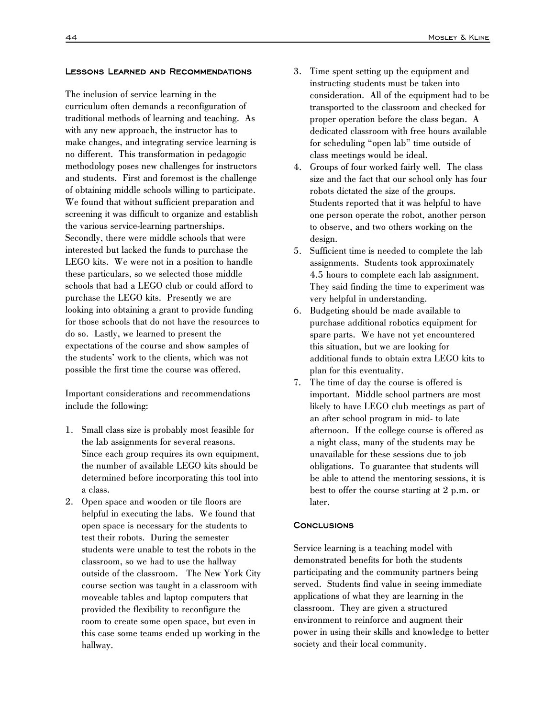#### Lessons Learned and Recommendations

The inclusion of service learning in the curriculum often demands a reconfiguration of traditional methods of learning and teaching. As with any new approach, the instructor has to make changes, and integrating service learning is no different. This transformation in pedagogic methodology poses new challenges for instructors and students. First and foremost is the challenge of obtaining middle schools willing to participate. We found that without sufficient preparation and screening it was difficult to organize and establish the various service-learning partnerships. Secondly, there were middle schools that were interested but lacked the funds to purchase the LEGO kits. We were not in a position to handle these particulars, so we selected those middle schools that had a LEGO club or could afford to purchase the LEGO kits. Presently we are looking into obtaining a grant to provide funding for those schools that do not have the resources to do so. Lastly, we learned to present the expectations of the course and show samples of the students' work to the clients, which was not possible the first time the course was offered.

Important considerations and recommendations include the following:

- 1. Small class size is probably most feasible for the lab assignments for several reasons. Since each group requires its own equipment, the number of available LEGO kits should be determined before incorporating this tool into a class.
- 2. Open space and wooden or tile floors are helpful in executing the labs. We found that open space is necessary for the students to test their robots. During the semester students were unable to test the robots in the classroom, so we had to use the hallway outside of the classroom. The New York City course section was taught in a classroom with moveable tables and laptop computers that provided the flexibility to reconfigure the room to create some open space, but even in this case some teams ended up working in the hallway.
- 3. Time spent setting up the equipment and instructing students must be taken into consideration. All of the equipment had to be transported to the classroom and checked for proper operation before the class began. A dedicated classroom with free hours available for scheduling "open lab" time outside of class meetings would be ideal.
- 4. Groups of four worked fairly well. The class size and the fact that our school only has four robots dictated the size of the groups. Students reported that it was helpful to have one person operate the robot, another person to observe, and two others working on the design.
- 5. Sufficient time is needed to complete the lab assignments. Students took approximately 4.5 hours to complete each lab assignment. They said finding the time to experiment was very helpful in understanding.
- 6. Budgeting should be made available to purchase additional robotics equipment for spare parts. We have not yet encountered this situation, but we are looking for additional funds to obtain extra LEGO kits to plan for this eventuality.
- 7. The time of day the course is offered is important. Middle school partners are most likely to have LEGO club meetings as part of an after school program in mid- to late afternoon. If the college course is offered as a night class, many of the students may be unavailable for these sessions due to job obligations. To guarantee that students will be able to attend the mentoring sessions, it is best to offer the course starting at 2 p.m. or later.

# **CONCLUSIONS**

Service learning is a teaching model with demonstrated benefits for both the students participating and the community partners being served. Students find value in seeing immediate applications of what they are learning in the classroom. They are given a structured environment to reinforce and augment their power in using their skills and knowledge to better society and their local community.